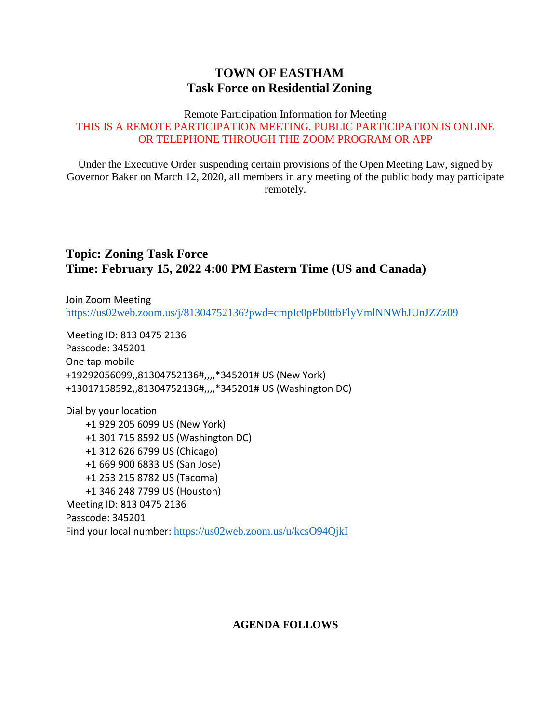## **TOWN OF EASTHAM Task Force on Residential Zoning**

#### Remote Participation Information for Meeting THIS IS A REMOTE PARTICIPATION MEETING. PUBLIC PARTICIPATION IS ONLINE OR TELEPHONE THROUGH THE ZOOM PROGRAM OR APP

Under the Executive Order suspending certain provisions of the Open Meeting Law, signed by Governor Baker on March 12, 2020, all members in any meeting of the public body may participate remotely.

## **Topic: Zoning Task Force Time: February 15, 2022 4:00 PM Eastern Time (US and Canada)**

Join Zoom Meeting <https://us02web.zoom.us/j/81304752136?pwd=cmpIc0pEb0ttbFlyVmlNNWhJUnJZZz09>

Meeting ID: 813 0475 2136 Passcode: 345201 One tap mobile +19292056099,,81304752136#,,,,\*345201# US (New York) +13017158592,,81304752136#,,,,\*345201# US (Washington DC)

Dial by your location +1 929 205 6099 US (New York) +1 301 715 8592 US (Washington DC) +1 312 626 6799 US (Chicago) +1 669 900 6833 US (San Jose) +1 253 215 8782 US (Tacoma) +1 346 248 7799 US (Houston) Meeting ID: 813 0475 2136 Passcode: 345201 Find your local number: <https://us02web.zoom.us/u/kcsO94QjkI>

### **AGENDA FOLLOWS**